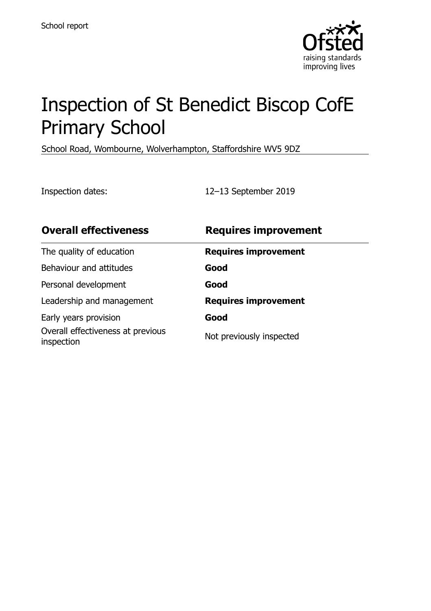

# Inspection of St Benedict Biscop CofE Primary School

School Road, Wombourne, Wolverhampton, Staffordshire WV5 9DZ

Inspection dates: 12–13 September 2019

| <b>Overall effectiveness</b>                    | <b>Requires improvement</b> |
|-------------------------------------------------|-----------------------------|
| The quality of education                        | <b>Requires improvement</b> |
| Behaviour and attitudes                         | Good                        |
| Personal development                            | Good                        |
| Leadership and management                       | <b>Requires improvement</b> |
| Early years provision                           | Good                        |
| Overall effectiveness at previous<br>inspection | Not previously inspected    |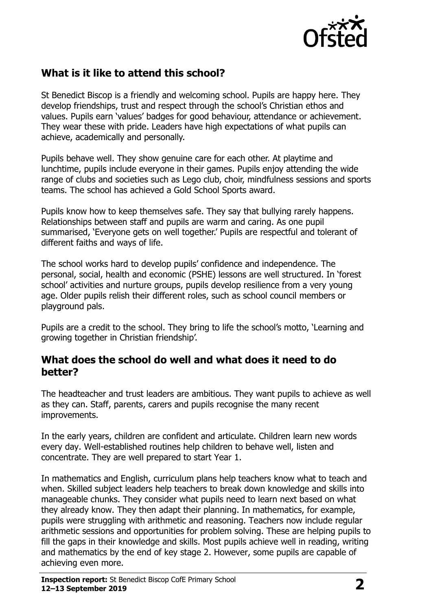

## **What is it like to attend this school?**

St Benedict Biscop is a friendly and welcoming school. Pupils are happy here. They develop friendships, trust and respect through the school's Christian ethos and values. Pupils earn 'values' badges for good behaviour, attendance or achievement. They wear these with pride. Leaders have high expectations of what pupils can achieve, academically and personally.

Pupils behave well. They show genuine care for each other. At playtime and lunchtime, pupils include everyone in their games. Pupils enjoy attending the wide range of clubs and societies such as Lego club, choir, mindfulness sessions and sports teams. The school has achieved a Gold School Sports award.

Pupils know how to keep themselves safe. They say that bullying rarely happens. Relationships between staff and pupils are warm and caring. As one pupil summarised, 'Everyone gets on well together.' Pupils are respectful and tolerant of different faiths and ways of life.

The school works hard to develop pupils' confidence and independence. The personal, social, health and economic (PSHE) lessons are well structured. In 'forest school' activities and nurture groups, pupils develop resilience from a very young age. Older pupils relish their different roles, such as school council members or playground pals.

Pupils are a credit to the school. They bring to life the school's motto, 'Learning and growing together in Christian friendship'.

#### **What does the school do well and what does it need to do better?**

The headteacher and trust leaders are ambitious. They want pupils to achieve as well as they can. Staff, parents, carers and pupils recognise the many recent improvements.

In the early years, children are confident and articulate. Children learn new words every day. Well-established routines help children to behave well, listen and concentrate. They are well prepared to start Year 1.

In mathematics and English, curriculum plans help teachers know what to teach and when. Skilled subject leaders help teachers to break down knowledge and skills into manageable chunks. They consider what pupils need to learn next based on what they already know. They then adapt their planning. In mathematics, for example, pupils were struggling with arithmetic and reasoning. Teachers now include regular arithmetic sessions and opportunities for problem solving. These are helping pupils to fill the gaps in their knowledge and skills. Most pupils achieve well in reading, writing and mathematics by the end of key stage 2. However, some pupils are capable of achieving even more.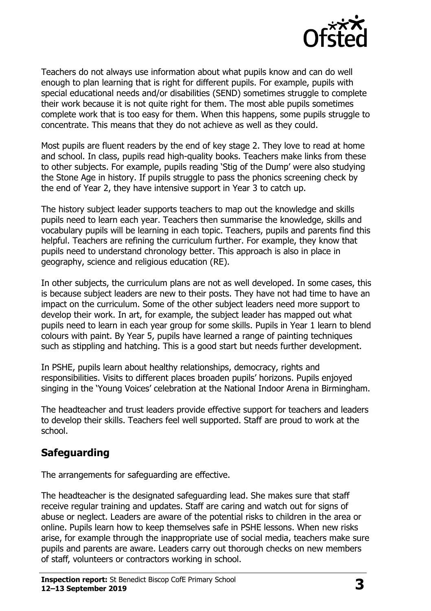

Teachers do not always use information about what pupils know and can do well enough to plan learning that is right for different pupils. For example, pupils with special educational needs and/or disabilities (SEND) sometimes struggle to complete their work because it is not quite right for them. The most able pupils sometimes complete work that is too easy for them. When this happens, some pupils struggle to concentrate. This means that they do not achieve as well as they could.

Most pupils are fluent readers by the end of key stage 2. They love to read at home and school. In class, pupils read high-quality books. Teachers make links from these to other subjects. For example, pupils reading 'Stig of the Dump' were also studying the Stone Age in history. If pupils struggle to pass the phonics screening check by the end of Year 2, they have intensive support in Year 3 to catch up.

The history subject leader supports teachers to map out the knowledge and skills pupils need to learn each year. Teachers then summarise the knowledge, skills and vocabulary pupils will be learning in each topic. Teachers, pupils and parents find this helpful. Teachers are refining the curriculum further. For example, they know that pupils need to understand chronology better. This approach is also in place in geography, science and religious education (RE).

In other subjects, the curriculum plans are not as well developed. In some cases, this is because subject leaders are new to their posts. They have not had time to have an impact on the curriculum. Some of the other subject leaders need more support to develop their work. In art, for example, the subject leader has mapped out what pupils need to learn in each year group for some skills. Pupils in Year 1 learn to blend colours with paint. By Year 5, pupils have learned a range of painting techniques such as stippling and hatching. This is a good start but needs further development.

In PSHE, pupils learn about healthy relationships, democracy, rights and responsibilities. Visits to different places broaden pupils' horizons. Pupils enjoyed singing in the 'Young Voices' celebration at the National Indoor Arena in Birmingham.

The headteacher and trust leaders provide effective support for teachers and leaders to develop their skills. Teachers feel well supported. Staff are proud to work at the school.

## **Safeguarding**

The arrangements for safeguarding are effective.

The headteacher is the designated safeguarding lead. She makes sure that staff receive regular training and updates. Staff are caring and watch out for signs of abuse or neglect. Leaders are aware of the potential risks to children in the area or online. Pupils learn how to keep themselves safe in PSHE lessons. When new risks arise, for example through the inappropriate use of social media, teachers make sure pupils and parents are aware. Leaders carry out thorough checks on new members of staff, volunteers or contractors working in school.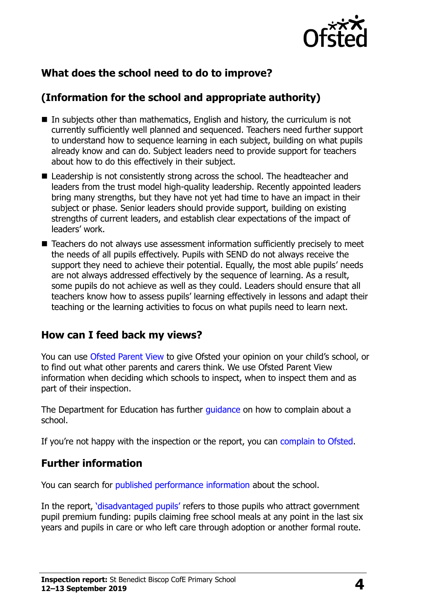

## **What does the school need to do to improve?**

## **(Information for the school and appropriate authority)**

- $\blacksquare$  In subjects other than mathematics, English and history, the curriculum is not currently sufficiently well planned and sequenced. Teachers need further support to understand how to sequence learning in each subject, building on what pupils already know and can do. Subject leaders need to provide support for teachers about how to do this effectively in their subject.
- Leadership is not consistently strong across the school. The headteacher and leaders from the trust model high-quality leadership. Recently appointed leaders bring many strengths, but they have not yet had time to have an impact in their subject or phase. Senior leaders should provide support, building on existing strengths of current leaders, and establish clear expectations of the impact of leaders' work.
- Teachers do not always use assessment information sufficiently precisely to meet the needs of all pupils effectively. Pupils with SEND do not always receive the support they need to achieve their potential. Equally, the most able pupils' needs are not always addressed effectively by the sequence of learning. As a result, some pupils do not achieve as well as they could. Leaders should ensure that all teachers know how to assess pupils' learning effectively in lessons and adapt their teaching or the learning activities to focus on what pupils need to learn next.

### **How can I feed back my views?**

You can use [Ofsted Parent View](http://parentview.ofsted.gov.uk/) to give Ofsted your opinion on your child's school, or to find out what other parents and carers think. We use Ofsted Parent View information when deciding which schools to inspect, when to inspect them and as part of their inspection.

The Department for Education has further [guidance](http://www.gov.uk/complain-about-school) on how to complain about a school.

If you're not happy with the inspection or the report, you can [complain to Ofsted.](http://www.gov.uk/complain-ofsted-report)

### **Further information**

You can search for [published performance information](http://www.compare-school-performance.service.gov.uk/) about the school.

In the report, '[disadvantaged pupils](http://www.gov.uk/guidance/pupil-premium-information-for-schools-and-alternative-provision-settings)' refers to those pupils who attract government pupil premium funding: pupils claiming free school meals at any point in the last six years and pupils in care or who left care through adoption or another formal route.

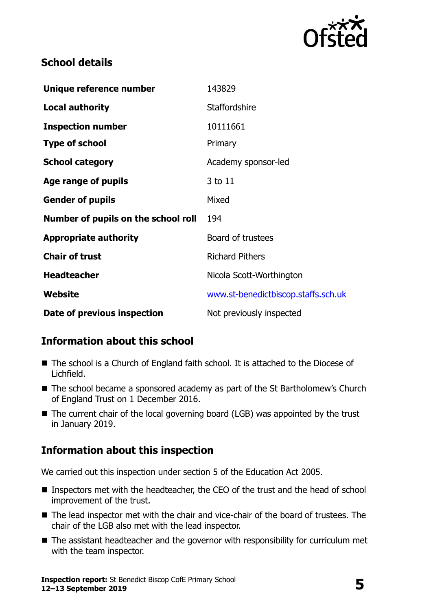

## **School details**

| Unique reference number             | 143829                              |
|-------------------------------------|-------------------------------------|
| <b>Local authority</b>              | <b>Staffordshire</b>                |
| <b>Inspection number</b>            | 10111661                            |
| <b>Type of school</b>               | Primary                             |
| <b>School category</b>              | Academy sponsor-led                 |
| Age range of pupils                 | 3 to 11                             |
| <b>Gender of pupils</b>             | Mixed                               |
| Number of pupils on the school roll | 194                                 |
| <b>Appropriate authority</b>        | Board of trustees                   |
| <b>Chair of trust</b>               | <b>Richard Pithers</b>              |
| <b>Headteacher</b>                  | Nicola Scott-Worthington            |
| Website                             | www.st-benedictbiscop.staffs.sch.uk |
| Date of previous inspection         | Not previously inspected            |

## **Information about this school**

- The school is a Church of England faith school. It is attached to the Diocese of Lichfield.
- The school became a sponsored academy as part of the St Bartholomew's Church of England Trust on 1 December 2016.
- The current chair of the local governing board (LGB) was appointed by the trust in January 2019.

## **Information about this inspection**

We carried out this inspection under section 5 of the Education Act 2005.

- Inspectors met with the headteacher, the CEO of the trust and the head of school improvement of the trust.
- The lead inspector met with the chair and vice-chair of the board of trustees. The chair of the LGB also met with the lead inspector.
- The assistant headteacher and the governor with responsibility for curriculum met with the team inspector.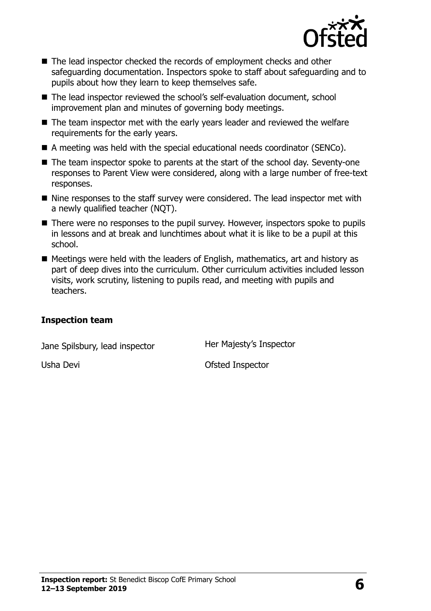

- The lead inspector checked the records of employment checks and other safeguarding documentation. Inspectors spoke to staff about safeguarding and to pupils about how they learn to keep themselves safe.
- The lead inspector reviewed the school's self-evaluation document, school improvement plan and minutes of governing body meetings.
- The team inspector met with the early years leader and reviewed the welfare requirements for the early years.
- A meeting was held with the special educational needs coordinator (SENCo).
- The team inspector spoke to parents at the start of the school day. Seventy-one responses to Parent View were considered, along with a large number of free-text responses.
- Nine responses to the staff survey were considered. The lead inspector met with a newly qualified teacher (NQT).
- There were no responses to the pupil survey. However, inspectors spoke to pupils in lessons and at break and lunchtimes about what it is like to be a pupil at this school.
- $\blacksquare$  Meetings were held with the leaders of English, mathematics, art and history as part of deep dives into the curriculum. Other curriculum activities included lesson visits, work scrutiny, listening to pupils read, and meeting with pupils and teachers.

#### **Inspection team**

Jane Spilsbury, lead inspector **Her Majesty's Inspector** 

Usha Devi **Ofsted Inspector**